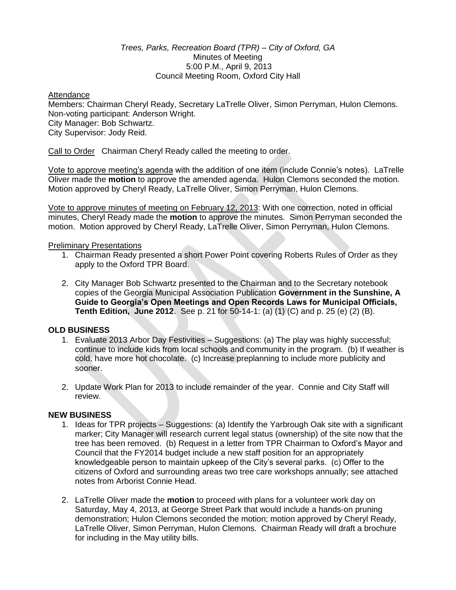### *Trees, Parks, Recreation Board (TPR) – City of Oxford, GA* Minutes of Meeting 5:00 P.M., April 9, 2013 Council Meeting Room, Oxford City Hall

#### Attendance

Members: Chairman Cheryl Ready, Secretary LaTrelle Oliver, Simon Perryman, Hulon Clemons. Non-voting participant: Anderson Wright. City Manager: Bob Schwartz. City Supervisor: Jody Reid.

Call to Order Chairman Cheryl Ready called the meeting to order.

Vote to approve meeting's agenda with the addition of one item (include Connie's notes). LaTrelle Oliver made the **motion** to approve the amended agenda. Hulon Clemons seconded the motion. Motion approved by Cheryl Ready, LaTrelle Oliver, Simon Perryman, Hulon Clemons.

Vote to approve minutes of meeting on February 12, 2013: With one correction, noted in official minutes, Cheryl Ready made the **motion** to approve the minutes. Simon Perryman seconded the motion. Motion approved by Cheryl Ready, LaTrelle Oliver, Simon Perryman, Hulon Clemons.

### Preliminary Presentations

- 1. Chairman Ready presented a short Power Point covering Roberts Rules of Order as they apply to the Oxford TPR Board.
- 2. City Manager Bob Schwartz presented to the Chairman and to the Secretary notebook copies of the Georgia Municipal Association Publication **Government in the Sunshine, A Guide to Georgia's Open Meetings and Open Records Laws for Municipal Officials, Tenth Edition, June 2012**. See p. 21 for 50-14-1: (a) (1) (C) and p. 25 (e) (2) (B).

# **OLD BUSINESS**

- 1. Evaluate 2013 Arbor Day Festivities Suggestions: (a) The play was highly successful; continue to include kids from local schools and community in the program. (b) If weather is cold, have more hot chocolate. (c) Increase preplanning to include more publicity and sooner.
- 2. Update Work Plan for 2013 to include remainder of the year. Connie and City Staff will review.

# **NEW BUSINESS**

- 1. Ideas for TPR projects Suggestions: (a) Identify the Yarbrough Oak site with a significant marker; City Manager will research current legal status (ownership) of the site now that the tree has been removed. (b) Request in a letter from TPR Chairman to Oxford's Mayor and Council that the FY2014 budget include a new staff position for an appropriately knowledgeable person to maintain upkeep of the City's several parks. (c) Offer to the citizens of Oxford and surrounding areas two tree care workshops annually; see attached notes from Arborist Connie Head.
- 2. LaTrelle Oliver made the **motion** to proceed with plans for a volunteer work day on Saturday, May 4, 2013, at George Street Park that would include a hands-on pruning demonstration; Hulon Clemons seconded the motion; motion approved by Cheryl Ready, LaTrelle Oliver, Simon Perryman, Hulon Clemons. Chairman Ready will draft a brochure for including in the May utility bills.